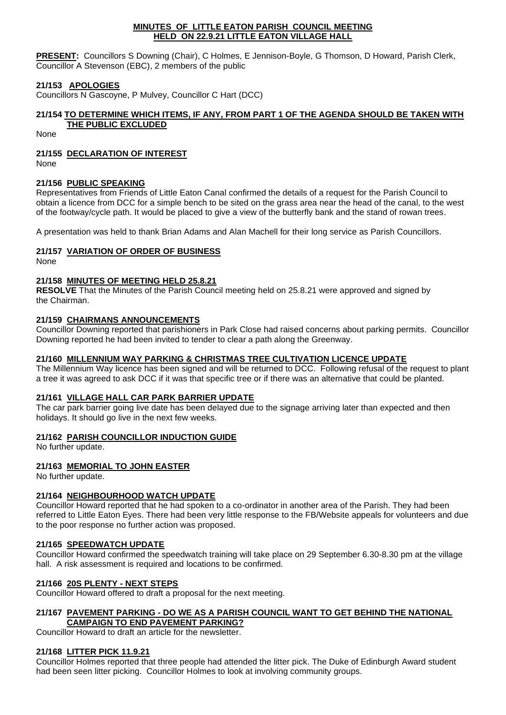### **MINUTES OF LITTLE EATON PARISH COUNCIL MEETING HELD ON 22.9.21 LITTLE EATON VILLAGE HALL**

**PRESENT:** Councillors S Downing (Chair), C Holmes, E Jennison-Boyle, G Thomson, D Howard, Parish Clerk, Councillor A Stevenson (EBC), 2 members of the public

# **21/153 APOLOGIES**

Councillors N Gascoyne, P Mulvey, Councillor C Hart (DCC)

# **21/154 TO DETERMINE WHICH ITEMS, IF ANY, FROM PART 1 OF THE AGENDA SHOULD BE TAKEN WITH**

# **THE PUBLIC EXCLUDED**

None

# **21/155 DECLARATION OF INTEREST**

None

# **21/156 PUBLIC SPEAKING**

Representatives from Friends of Little Eaton Canal confirmed the details of a request for the Parish Council to obtain a licence from DCC for a simple bench to be sited on the grass area near the head of the canal, to the west of the footway/cycle path. It would be placed to give a view of the butterfly bank and the stand of rowan trees.

A presentation was held to thank Brian Adams and Alan Machell for their long service as Parish Councillors.

# **21/157 VARIATION OF ORDER OF BUSINESS**

None

## **21/158 MINUTES OF MEETING HELD 25.8.21**

**RESOLVE** That the Minutes of the Parish Council meeting held on 25.8.21 were approved and signed by the Chairman.

## **21/159 CHAIRMANS ANNOUNCEMENTS**

Councillor Downing reported that parishioners in Park Close had raised concerns about parking permits. Councillor Downing reported he had been invited to tender to clear a path along the Greenway.

## **21/160 MILLENNIUM WAY PARKING & CHRISTMAS TREE CULTIVATION LICENCE UPDATE**

The Millennium Way licence has been signed and will be returned to DCC. Following refusal of the request to plant a tree it was agreed to ask DCC if it was that specific tree or if there was an alternative that could be planted.

### **21/161 VILLAGE HALL CAR PARK BARRIER UPDATE**

The car park barrier going live date has been delayed due to the signage arriving later than expected and then holidays. It should go live in the next few weeks.

### **21/162 PARISH COUNCILLOR INDUCTION GUIDE**

No further update.

# **21/163 MEMORIAL TO JOHN EASTER**

No further update.

# **21/164 NEIGHBOURHOOD WATCH UPDATE**

Councillor Howard reported that he had spoken to a co-ordinator in another area of the Parish. They had been referred to Little Eaton Eyes. There had been very little response to the FB/Website appeals for volunteers and due to the poor response no further action was proposed.

### **21/165 SPEEDWATCH UPDATE**

Councillor Howard confirmed the speedwatch training will take place on 29 September 6.30-8.30 pm at the village hall. A risk assessment is required and locations to be confirmed.

# **21/166 20S PLENTY - NEXT STEPS**

Councillor Howard offered to draft a proposal for the next meeting.

## **21/167 PAVEMENT PARKING - DO WE AS A PARISH COUNCIL WANT TO GET BEHIND THE NATIONAL CAMPAIGN TO END PAVEMENT PARKING?**

Councillor Howard to draft an article for the newsletter.

### **21/168 LITTER PICK 11.9.21**

Councillor Holmes reported that three people had attended the litter pick. The Duke of Edinburgh Award student had been seen litter picking. Councillor Holmes to look at involving community groups.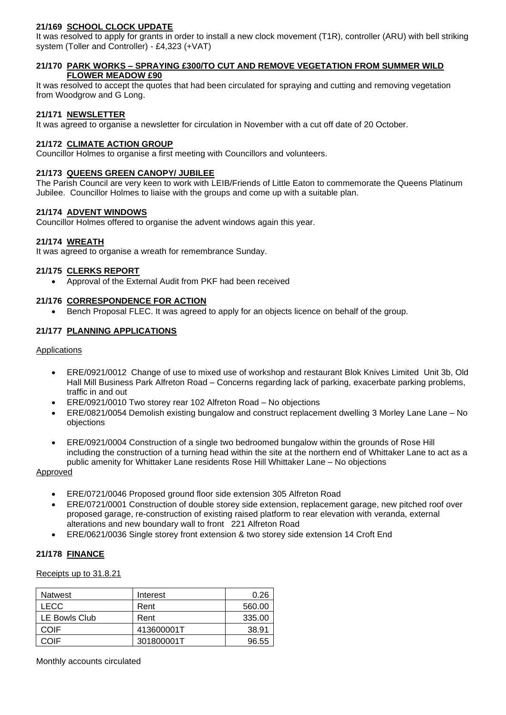# **21/169 SCHOOL CLOCK UPDATE**

It was resolved to apply for grants in order to install a new clock movement (T1R), controller (ARU) with bell striking system (Toller and Controller) - £4,323 (+VAT)

## **21/170 PARK WORKS – SPRAYING £300/TO CUT AND REMOVE VEGETATION FROM SUMMER WILD FLOWER MEADOW £90**

It was resolved to accept the quotes that had been circulated for spraying and cutting and removing vegetation from Woodgrow and G Long.

## **21/171 NEWSLETTER**

It was agreed to organise a newsletter for circulation in November with a cut off date of 20 October.

## **21/172 CLIMATE ACTION GROUP**

Councillor Holmes to organise a first meeting with Councillors and volunteers.

### **21/173 QUEENS GREEN CANOPY/ JUBILEE**

The Parish Council are very keen to work with LEIB/Friends of Little Eaton to commemorate the Queens Platinum Jubilee. Councillor Holmes to liaise with the groups and come up with a suitable plan.

### **21/174 ADVENT WINDOWS**

Councillor Holmes offered to organise the advent windows again this year.

## **21/174 WREATH**

It was agreed to organise a wreath for remembrance Sunday.

## **21/175 CLERKS REPORT**

• Approval of the External Audit from PKF had been received

## **21/176 CORRESPONDENCE FOR ACTION**

• Bench Proposal FLEC. It was agreed to apply for an objects licence on behalf of the group.

## **21/177 PLANNING APPLICATIONS**

## Applications

- ERE/0921/0012 Change of use to mixed use of workshop and restaurant Blok Knives Limited Unit 3b, Old Hall Mill Business Park Alfreton Road – Concerns regarding lack of parking, exacerbate parking problems, traffic in and out
- ERE/0921/0010 Two storey rear 102 Alfreton Road No objections
- ERE/0821/0054 Demolish existing bungalow and construct replacement dwelling 3 Morley Lane Lane No objections
- ERE/0921/0004 Construction of a single two bedroomed bungalow within the grounds of Rose Hill including the construction of a turning head within the site at the northern end of Whittaker Lane to act as a public amenity for Whittaker Lane residents Rose Hill Whittaker Lane – No objections

### Approved

- ERE/0721/0046 Proposed ground floor side extension 305 Alfreton Road
- ERE/0721/0001 Construction of double storey side extension, replacement garage, new pitched roof over proposed garage, re-construction of existing raised platform to rear elevation with veranda, external alterations and new boundary wall to front 221 Alfreton Road
- ERE/0621/0036 Single storey front extension & two storey side extension 14 Croft End

# **21/178 FINANCE**

### Receipts up to 31.8.21

| <b>Natwest</b> | Interest   | 0.26   |
|----------------|------------|--------|
| <b>LECC</b>    | Rent       | 560.00 |
| LE Bowls Club  | Rent       | 335.00 |
| COIF           | 413600001T | 38.91  |
| COIF           | 301800001T | 96.55  |

Monthly accounts circulated